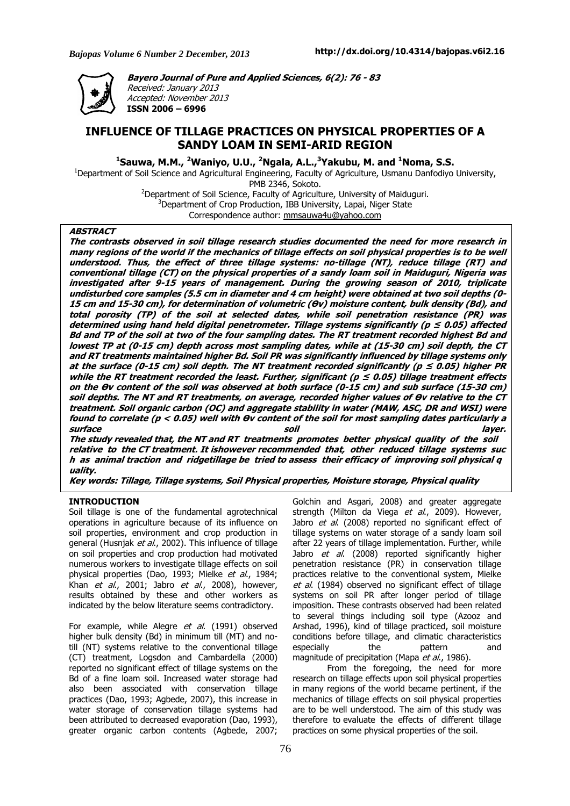

**Bayero Journal of Pure and Applied Sciences, 6(2): 76 - 83**  Received: January 2013 Accepted: November 2013 **ISSN 2006 – 6996** 

# **INFLUENCE OF TILLAGE PRACTICES ON PHYSICAL PROPERTIES OF A SANDY LOAM IN SEMI-ARID REGION**

**<sup>1</sup>Sauwa, M.M., <sup>2</sup>Waniyo, U.U., <sup>2</sup>Ngala, A.L.,<sup>3</sup>Yakubu, M. and <sup>1</sup>Noma, S.S.** 

<sup>1</sup>Department of Soil Science and Agricultural Engineering, Faculty of Agriculture, Usmanu Danfodiyo University,

PMB 2346, Sokoto.

<sup>2</sup>Department of Soil Science, Faculty of Agriculture, University of Maiduguri.

 $3$ Department of Crop Production, IBB University, Lapai, Niger State Correspondence author: mmsauwa4u@yahoo.com

## **ABSTRACT**

**The contrasts observed in soil tillage research studies documented the need for more research in many regions of the world if the mechanics of tillage effects on soil physical properties is to be well understood. Thus, the effect of three tillage systems: no-tillage (NT), reduce tillage (RT) and conventional tillage (CT) on the physical properties of a sandy loam soil in Maiduguri, Nigeria was investigated after 9-15 years of management. During the growing season of 2010, triplicate undisturbed core samples (5.5 cm in diameter and 4 cm height) were obtained at two soil depths (0- 15 cm and 15-30 cm), for determination of volumetric (Өv) moisture content, bulk density (Bd), and total porosity (TP) of the soil at selected dates, while soil penetration resistance (PR) was determined using hand held digital penetrometer. Tillage systems significantly (p ≤ 0.05) affected Bd and TP of the soil at two of the four sampling dates. The RT treatment recorded highest Bd and lowest TP at (0-15 cm) depth across most sampling dates, while at (15-30 cm) soil depth, the CT and RT treatments maintained higher Bd. Soil PR was significantly influenced by tillage systems only**  at the surface (0-15 cm) soil depth. The NT treatment recorded significantly ( $p \le 0.05$ ) higher PR while the RT treatment recorded the least. Further, significant (p ≤ 0.05) tillage treatment effects **on the Өv content of the soil was observed at both surface (0-15 cm) and sub surface (15-30 cm) soil depths. The NT and RT treatments, on average, recorded higher values of Өv relative to the CT treatment. Soil organic carbon (OC) and aggregate stability in water (MAW, ASC, DR and WSI) were found to correlate (p < 0.05) well with Өv content of the soil for most sampling dates particularly a surface soil layer.** 

**The study revealed that, the NT and RT treatments promotes better physical quality of the soil relative to the CT treatment. It ishowever recommended that, other reduced tillage systems suc h as animal traction and ridgetillage be tried to assess their efficacy of improving soil physical q uality.** 

**Key words: Tillage, Tillage systems, Soil Physical properties, Moisture storage, Physical quality** 

### **INTRODUCTION**

Soil tillage is one of the fundamental agrotechnical operations in agriculture because of its influence on soil properties, environment and crop production in general (Husnjak et al., 2002). This influence of tillage on soil properties and crop production had motivated numerous workers to investigate tillage effects on soil physical properties (Dao, 1993; Mielke et al., 1984; Khan et al., 2001; Jabro et al., 2008), however, results obtained by these and other workers as indicated by the below literature seems contradictory.

For example, while Alegre et al. (1991) observed higher bulk density (Bd) in minimum till (MT) and notill (NT) systems relative to the conventional tillage (CT) treatment, Logsdon and Cambardella (2000) reported no significant effect of tillage systems on the Bd of a fine loam soil. Increased water storage had also been associated with conservation tillage practices (Dao, 1993; Agbede, 2007), this increase in water storage of conservation tillage systems had been attributed to decreased evaporation (Dao, 1993), greater organic carbon contents (Agbede, 2007;

Golchin and Asgari, 2008) and greater aggregate strength (Milton da Viega et al., 2009). However, Jabro et al. (2008) reported no significant effect of tillage systems on water storage of a sandy loam soil after 22 years of tillage implementation. Further, while Jabro et al. (2008) reported significantly higher penetration resistance (PR) in conservation tillage practices relative to the conventional system, Mielke et al. (1984) observed no significant effect of tillage systems on soil PR after longer period of tillage imposition. These contrasts observed had been related to several things including soil type (Azooz and Arshad, 1996), kind of tillage practiced, soil moisture conditions before tillage, and climatic characteristics especially the pattern and magnitude of precipitation (Mapa et al., 1986).

 From the foregoing, the need for more research on tillage effects upon soil physical properties in many regions of the world became pertinent, if the mechanics of tillage effects on soil physical properties are to be well understood. The aim of this study was therefore to evaluate the effects of different tillage practices on some physical properties of the soil.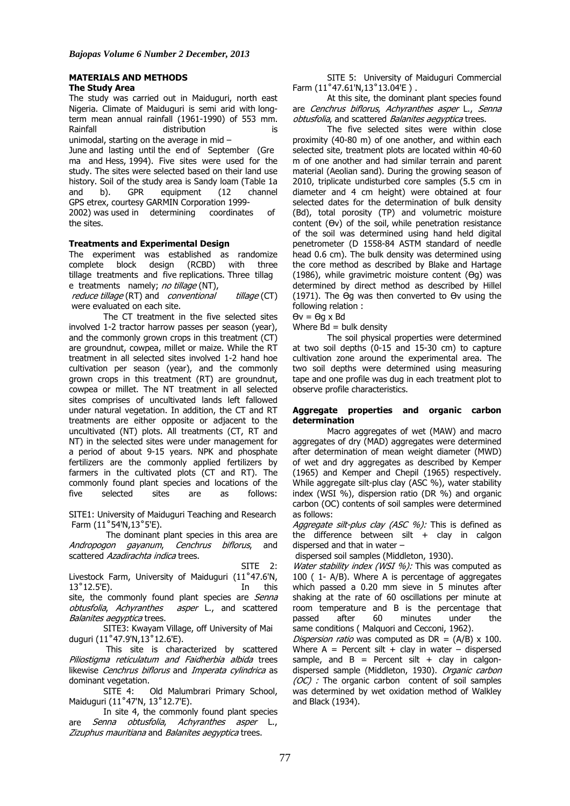#### **MATERIALS AND METHODS The Study Area**

The study was carried out in Maiduguri, north east Nigeria. Climate of Maiduguri is semi arid with longterm mean annual rainfall (1961-1990) of 553 mm. Rainfall distribution is unimodal, starting on the average in mid –

June and lasting until the end of September (Gre ma and Hess, 1994). Five sites were used for the study. The sites were selected based on their land use history. Soil of the study area is Sandy loam (Table 1a and b). GPR equipment (12 channel GPS etrex, courtesy GARMIN Corporation 1999- 2002) was used in determining coordinates of the sites.

## **Treatments and Experimental Design**

The experiment was established as randomize complete block design (RCBD) with three tillage treatments and five replications. Three tillag e treatments namely; no tillage (NT),

reduce tillage (RT) and conventional tillage (CT) were evaluated on each site.

 The CT treatment in the five selected sites involved 1-2 tractor harrow passes per season (year), and the commonly grown crops in this treatment (CT) are groundnut, cowpea, millet or maize. While the RT treatment in all selected sites involved 1-2 hand hoe cultivation per season (year), and the commonly grown crops in this treatment (RT) are groundnut, cowpea or millet. The NT treatment in all selected sites comprises of uncultivated lands left fallowed under natural vegetation. In addition, the CT and RT treatments are either opposite or adjacent to the uncultivated (NT) plots. All treatments (CT, RT and NT) in the selected sites were under management for a period of about 9-15 years. NPK and phosphate fertilizers are the commonly applied fertilizers by farmers in the cultivated plots (CT and RT). The commonly found plant species and locations of the five selected sites are as follows:

SITE1: University of Maiduguri Teaching and Research Farm (11˚54'N,13˚5'E).

 The dominant plant species in this area are Andropogon gayanum, Cenchrus biflorus, and scattered Azadirachta indica trees.

 SITE 2: Livestock Farm, University of Maiduguri (11˚47.6'N, 13˚12.5'E). In this

site, the commonly found plant species are Senna obtusfolia, Achyranthes asper L., and scattered Balanites aegyptica trees.

 SITE3: Kwayam Village, off University of Mai duguri (11˚47.9'N,13˚12.6'E).

 This site is characterized by scattered Piliostigma reticulatum and Faidherbia albida trees likewise Cenchrus biflorus and Imperata cylindrica as dominant vegetation.

 SITE 4: Old Malumbrari Primary School, Maiduguri (11˚47'N, 13˚12.7'E).

 In site 4, the commonly found plant species are *Senna obtusfolia*, Achyranthes asper L., Zizuphus mauritiana and Balanites aegyptica trees.

 SITE 5: University of Maiduguri Commercial Farm (11˚47.61'N,13˚13.04'E ) .

 At this site, the dominant plant species found are Cenchrus biflorus, Achyranthes asper L., Senna obtusfolia, and scattered Balanites aegyptica trees.

 The five selected sites were within close proximity (40-80 m) of one another, and within each selected site, treatment plots are located within 40-60 m of one another and had similar terrain and parent material (Aeolian sand). During the growing season of 2010, triplicate undisturbed core samples (5.5 cm in diameter and 4 cm height) were obtained at four selected dates for the determination of bulk density (Bd), total porosity (TP) and volumetric moisture content (Өv) of the soil, while penetration resistance of the soil was determined using hand held digital penetrometer (D 1558-84 ASTM standard of needle head 0.6 cm). The bulk density was determined using the core method as described by Blake and Hartage (1986), while gravimetric moisture content (Өg) was determined by direct method as described by Hillel (1971). The Өg was then converted to Өv using the following relation :

 $\Theta v = \Theta q \times B d$ 

Where  $Bd = bulk$  density

 The soil physical properties were determined at two soil depths (0-15 and 15-30 cm) to capture cultivation zone around the experimental area. The two soil depths were determined using measuring tape and one profile was dug in each treatment plot to observe profile characteristics.

## **Aggregate properties and organic carbon determination**

 Macro aggregates of wet (MAW) and macro aggregates of dry (MAD) aggregates were determined after determination of mean weight diameter (MWD) of wet and dry aggregates as described by Kemper (1965) and Kemper and Chepil (1965) respectively. While aggregate silt-plus clay (ASC %), water stability index (WSI %), dispersion ratio (DR %) and organic carbon (OC) contents of soil samples were determined as follows:

Aggregate silt-plus clay (ASC %): This is defined as the difference between silt  $+$  clay in calgon dispersed and that in water –

dispersed soil samples (Middleton, 1930).

Water stability index (WSI  $%$ ): This was computed as 100 ( 1- A/B). Where A is percentage of aggregates which passed a 0.20 mm sieve in 5 minutes after shaking at the rate of 60 oscillations per minute at room temperature and B is the percentage that passed after 60 minutes under the same conditions (Malquori and Cecconi, 1962).

Dispersion ratio was computed as  $DR = (A/B) \times 100$ . Where  $A =$  Percent silt + clay in water – dispersed sample, and  $B =$  Percent silt + clay in calgondispersed sample (Middleton, 1930). Organic carbon  $(OC)$ : The organic carbon content of soil samples was determined by wet oxidation method of Walkley and Black (1934).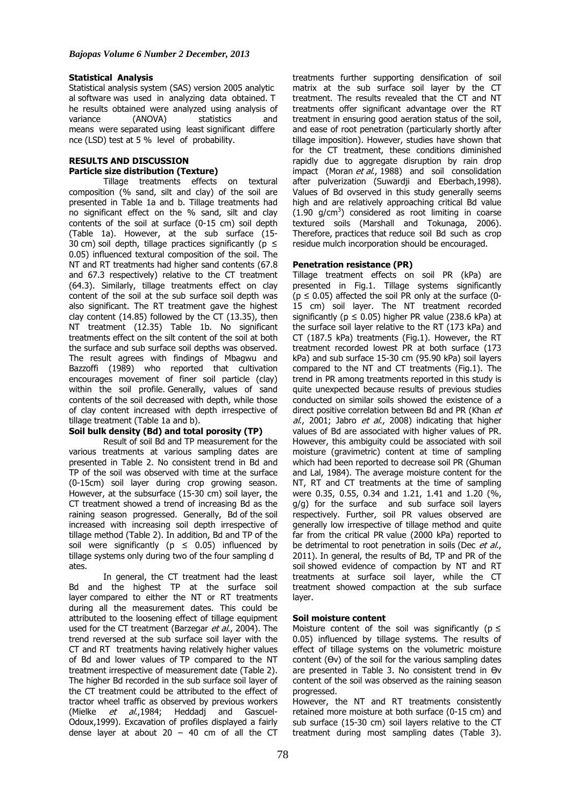## **Statistical Analysis**

Statistical analysis system (SAS) version 2005 analytic al software was used in analyzing data obtained. T he results obtained were analyzed using analysis of variance (ANOVA) statistics and means were separated using least significant differe nce (LSD) test at 5 % level of probability.

## **RESULTS AND DISCUSSION Particle size distribution (Texture)**

 Tillage treatments effects on textural composition (% sand, silt and clay) of the soil are presented in Table 1a and b. Tillage treatments had no significant effect on the % sand, silt and clay contents of the soil at surface (0-15 cm) soil depth (Table 1a). However, at the sub surface (15- 30 cm) soil depth, tillage practices significantly ( $p \le$ 0.05) influenced textural composition of the soil. The NT and RT treatments had higher sand contents (67.8 and 67.3 respectively) relative to the CT treatment (64.3). Similarly, tillage treatments effect on clay content of the soil at the sub surface soil depth was also significant. The RT treatment gave the highest clay content (14.85) followed by the CT (13.35), then NT treatment (12.35) Table 1b. No significant treatments effect on the silt content of the soil at both the surface and sub surface soil depths was observed. The result agrees with findings of Mbagwu and Bazzoffi (1989) who reported that cultivation encourages movement of finer soil particle (clay) within the soil profile. Generally, values of sand contents of the soil decreased with depth, while those of clay content increased with depth irrespective of tillage treatment (Table 1a and b).

## **Soil bulk density (Bd) and total porosity (TP)**

 Result of soil Bd and TP measurement for the various treatments at various sampling dates are presented in Table 2. No consistent trend in Bd and TP of the soil was observed with time at the surface (0-15cm) soil layer during crop growing season. However, at the subsurface (15-30 cm) soil layer, the CT treatment showed a trend of increasing Bd as the raining season progressed. Generally, Bd of the soil increased with increasing soil depth irrespective of tillage method (Table 2). In addition, Bd and TP of the soil were significantly ( $p \le 0.05$ ) influenced by tillage systems only during two of the four sampling d ates.

In general, the CT treatment had the least Bd and the highest TP at the surface soil layer compared to either the NT or RT treatments during all the measurement dates. This could be attributed to the loosening effect of tillage equipment used for the CT treatment (Barzegar et al., 2004). The trend reversed at the sub surface soil layer with the CT and RT treatments having relatively higher values of Bd and lower values of TP compared to the NT treatment irrespective of measurement date (Table 2). The higher Bd recorded in the sub surface soil layer of the CT treatment could be attributed to the effect of tractor wheel traffic as observed by previous workers (Mielke et al.,1984; Heddadi and Gascuel-Odoux,1999). Excavation of profiles displayed a fairly dense layer at about 20 - 40 cm of all the CT

treatments further supporting densification of soil matrix at the sub surface soil layer by the CT treatment. The results revealed that the CT and NT treatments offer significant advantage over the RT treatment in ensuring good aeration status of the soil, and ease of root penetration (particularly shortly after tillage imposition). However, studies have shown that for the CT treatment, these conditions diminished rapidly due to aggregate disruption by rain drop impact (Moran et al., 1988) and soil consolidation after pulverization (Suwardji and Eberbach,1998). Values of Bd ovserved in this study generally seems high and are relatively approaching critical Bd value  $(1.90 \text{ g/cm}^3)$  considered as root limiting in coarse textured soils (Marshall and Tokunaga, 2006). Therefore, practices that reduce soil Bd such as crop residue mulch incorporation should be encouraged.

## **Penetration resistance (PR)**

Tillage treatment effects on soil PR (kPa) are presented in Fig.1. Tillage systems significantly ( $p \le 0.05$ ) affected the soil PR only at the surface (0-15 cm) soil layer. The NT treatment recorded significantly ( $p \le 0.05$ ) higher PR value (238.6 kPa) at the surface soil layer relative to the RT (173 kPa) and CT (187.5 kPa) treatments (Fig.1). However, the RT treatment recorded lowest PR at both surface (173 kPa) and sub surface 15-30 cm (95.90 kPa) soil layers compared to the NT and CT treatments (Fig.1). The trend in PR among treatments reported in this study is quite unexpected because results of previous studies conducted on similar soils showed the existence of a direct positive correlation between Bd and PR (Khan et al., 2001; Jabro et al., 2008) indicating that higher values of Bd are associated with higher values of PR. However, this ambiguity could be associated with soil moisture (gravimetric) content at time of sampling which had been reported to decrease soil PR (Ghuman and Lal, 1984). The average moisture content for the NT, RT and CT treatments at the time of sampling were 0.35, 0.55, 0.34 and 1.21, 1.41 and 1.20 (%, g/g) for the surface and sub surface soil layers respectively. Further, soil PR values observed are generally low irrespective of tillage method and quite far from the critical PR value (2000 kPa) reported to be detrimental to root penetration in soils (Dec et al., 2011). In general, the results of Bd, TP and PR of the soil showed evidence of compaction by NT and RT treatments at surface soil layer, while the CT treatment showed compaction at the sub surface layer.

### **Soil moisture content**

Moisture content of the soil was significantly ( $p \leq$ 0.05) influenced by tillage systems. The results of effect of tillage systems on the volumetric moisture content (Өv) of the soil for the various sampling dates are presented in Table 3. No consistent trend in Өv content of the soil was observed as the raining season progressed.

However, the NT and RT treatments consistently retained more moisture at both surface (0-15 cm) and sub surface (15-30 cm) soil layers relative to the CT treatment during most sampling dates (Table 3).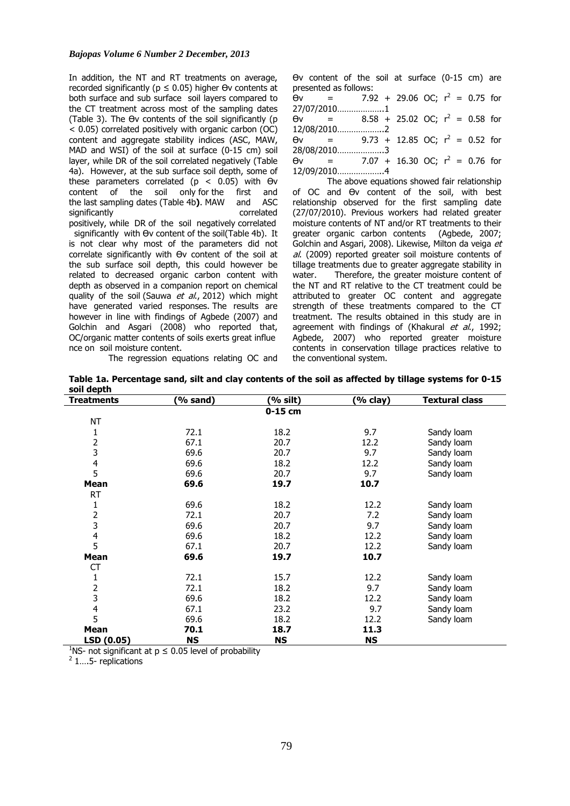In addition, the NT and RT treatments on average, recorded significantly ( $p \le 0.05$ ) higher  $\Theta$ v contents at both surface and sub surface soil layers compared to the CT treatment across most of the sampling dates (Table 3). The Өv contents of the soil significantly (p < 0.05) correlated positively with organic carbon (OC) content and aggregate stability indices (ASC, MAW, MAD and WSI) of the soil at surface (0-15 cm) soil layer, while DR of the soil correlated negatively (Table 4a). However, at the sub surface soil depth, some of these parameters correlated ( $p < 0.05$ ) with  $\Theta$ v content of the soil only for the first and the last sampling dates (Table 4b**)**. MAW and ASC significantly correlated positively, while DR of the soil negatively correlated significantly with  $\Theta$ v content of the soil(Table 4b). It is not clear why most of the parameters did not correlate significantly with Өv content of the soil at the sub surface soil depth, this could however be related to decreased organic carbon content with depth as observed in a companion report on chemical quality of the soil (Sauwa et al., 2012) which might have generated varied responses. The results are however in line with findings of Agbede (2007) and Golchin and Asgari (2008) who reported that, OC/organic matter contents of soils exerts great influe nce on soil moisture content.

|     | $\Theta$ v content of the soil at surface (0-15 cm) are |  |  |  |  |  |
|-----|---------------------------------------------------------|--|--|--|--|--|
|     | presented as follows:                                   |  |  |  |  |  |
| θv  | $= 7.92 + 29.06$ OC; $r^2 = 0.75$ for                   |  |  |  |  |  |
|     | 27/07/20101                                             |  |  |  |  |  |
| θv. | $=$ 8.58 + 25.02 OC; $r^2 = 0.58$ for                   |  |  |  |  |  |
|     | 12/08/20102                                             |  |  |  |  |  |
| Θv. | $=$ 9.73 + 12.85 OC; $r^2 = 0.52$ for                   |  |  |  |  |  |
|     | 28/08/20103                                             |  |  |  |  |  |
| θv  | $= 7.07 + 16.30$ OC; $r^2 = 0.76$ for                   |  |  |  |  |  |
|     | 12/09/20104                                             |  |  |  |  |  |

 The above equations showed fair relationship of OC and Өv content of the soil, with best relationship observed for the first sampling date (27/07/2010). Previous workers had related greater moisture contents of NT and/or RT treatments to their greater organic carbon contents (Agbede, 2007; Golchin and Asgari, 2008). Likewise, Milton da veiga et al. (2009) reported greater soil moisture contents of tillage treatments due to greater aggregate stability in water. Therefore, the greater moisture content of the NT and RT relative to the CT treatment could be attributed to greater OC content and aggregate strength of these treatments compared to the CT treatment. The results obtained in this study are in agreement with findings of (Khakural et al., 1992; Agbede, 2007) who reported greater moisture contents in conservation tillage practices relative to the conventional system.

The regression equations relating OC and

**Table 1a. Percentage sand, silt and clay contents of the soil as affected by tillage systems for 0-15 soil depth** 

| <br><b>Treatments</b> | $%$ sand) | (% silt)  | $%$ clay) | <b>Textural class</b> |
|-----------------------|-----------|-----------|-----------|-----------------------|
|                       |           | $0-15$ cm |           |                       |
| NT                    |           |           |           |                       |
| 1                     | 72.1      | 18.2      | 9.7       | Sandy loam            |
| 2                     | 67.1      | 20.7      | 12.2      | Sandy loam            |
| 3                     | 69.6      | 20.7      | 9.7       | Sandy loam            |
| 4                     | 69.6      | 18.2      | 12.2      | Sandy loam            |
| 5                     | 69.6      | 20.7      | 9.7       | Sandy loam            |
| Mean                  | 69.6      | 19.7      | 10.7      |                       |
| <b>RT</b>             |           |           |           |                       |
| 1                     | 69.6      | 18.2      | 12.2      | Sandy loam            |
| 2                     | 72.1      | 20.7      | 7.2       | Sandy loam            |
| 3                     | 69.6      | 20.7      | 9.7       | Sandy loam            |
| 4                     | 69.6      | 18.2      | 12.2      | Sandy loam            |
| 5                     | 67.1      | 20.7      | 12.2      | Sandy loam            |
| Mean                  | 69.6      | 19.7      | 10.7      |                       |
| CT                    |           |           |           |                       |
| 1                     | 72.1      | 15.7      | 12.2      | Sandy loam            |
| 2                     | 72.1      | 18.2      | 9.7       | Sandy loam            |
| 3                     | 69.6      | 18.2      | 12.2      | Sandy loam            |
| 4                     | 67.1      | 23.2      | 9.7       | Sandy loam            |
| 5                     | 69.6      | 18.2      | 12.2      | Sandy loam            |
| Mean                  | 70.1      | 18.7      | 11.3      |                       |
| LSD (0.05)            | <b>NS</b> | <b>NS</b> | <b>NS</b> |                       |

<sup>1</sup>NS- not significant at  $p \le 0.05$  level of probability

 $2$  1....5- replications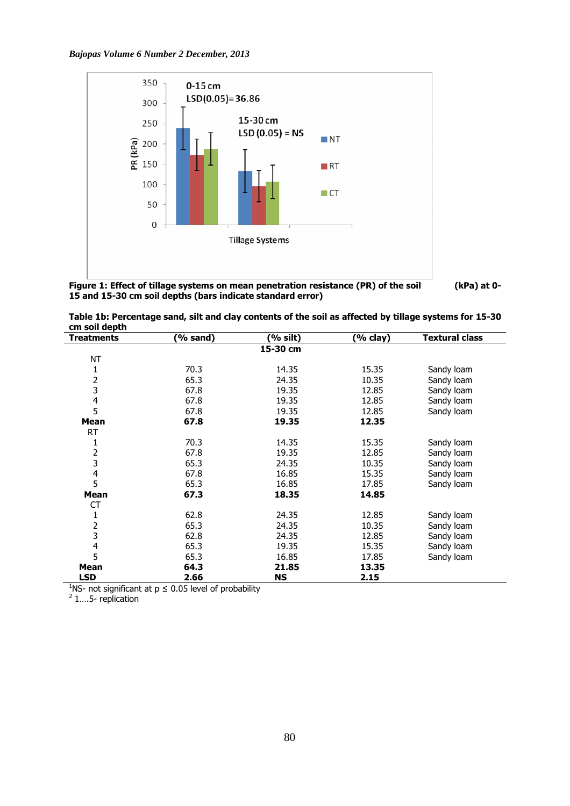

**Figure 1: Effect of tillage systems on mean penetration resistance (PR) of the soil (kPa) at 0- 15 and 15-30 cm soil depths (bars indicate standard error)** 

**Table 1b: Percentage sand, silt and clay contents of the soil as affected by tillage systems for 15-30 cm soil depth** 

| <b>Treatments</b>       | (% sand) | (% silt)  | (% clay) | <b>Textural class</b> |
|-------------------------|----------|-----------|----------|-----------------------|
|                         |          | 15-30 cm  |          |                       |
| <b>NT</b>               |          |           |          |                       |
| 1                       | 70.3     | 14.35     | 15.35    | Sandy loam            |
| 2                       | 65.3     | 24.35     | 10.35    | Sandy loam            |
| 3                       | 67.8     | 19.35     | 12.85    | Sandy loam            |
| $\overline{\mathbf{r}}$ | 67.8     | 19.35     | 12.85    | Sandy loam            |
| 5                       | 67.8     | 19.35     | 12.85    | Sandy loam            |
| Mean                    | 67.8     | 19.35     | 12.35    |                       |
| <b>RT</b>               |          |           |          |                       |
| $\mathbf 1$             | 70.3     | 14.35     | 15.35    | Sandy loam            |
| 2                       | 67.8     | 19.35     | 12.85    | Sandy loam            |
| 3                       | 65.3     | 24.35     | 10.35    | Sandy loam            |
| $\overline{\mathbf{r}}$ | 67.8     | 16.85     | 15.35    | Sandy loam            |
| 5                       | 65.3     | 16.85     | 17.85    | Sandy loam            |
| Mean                    | 67.3     | 18.35     | 14.85    |                       |
| CT                      |          |           |          |                       |
| 1                       | 62.8     | 24.35     | 12.85    | Sandy loam            |
| 2                       | 65.3     | 24.35     | 10.35    | Sandy loam            |
| 3                       | 62.8     | 24.35     | 12.85    | Sandy loam            |
| $\overline{\mathbf{r}}$ | 65.3     | 19.35     | 15.35    | Sandy loam            |
| 5                       | 65.3     | 16.85     | 17.85    | Sandy loam            |
| Mean                    | 64.3     | 21.85     | 13.35    |                       |
| <b>LSD</b>              | 2.66     | <b>NS</b> | 2.15     |                       |

<sup>1</sup>NS- not significant at  $p \le 0.05$  level of probability

 $2$  1....5- replication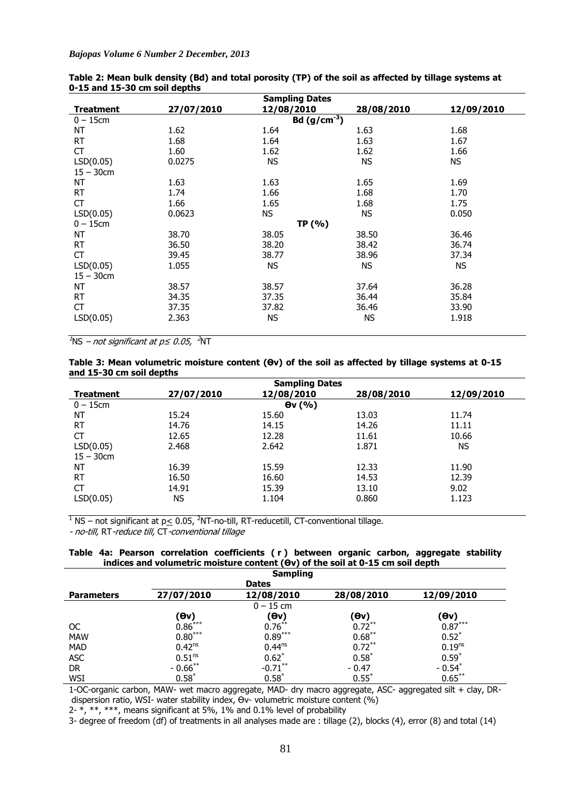|                  |            | <b>Sampling Dates</b> |            |            |
|------------------|------------|-----------------------|------------|------------|
| <b>Treatment</b> | 27/07/2010 | 12/08/2010            | 28/08/2010 | 12/09/2010 |
| $0 - 15$ cm      |            | Bd $(g/cm^{-3})$      |            |            |
| ΝT               | 1.62       | 1.64                  | 1.63       | 1.68       |
| <b>RT</b>        | 1.68       | 1.64                  | 1.63       | 1.67       |
| <b>CT</b>        | 1.60       | 1.62                  | 1.62       | 1.66       |
| LSD(0.05)        | 0.0275     | <b>NS</b>             | <b>NS</b>  | <b>NS</b>  |
| $15 - 30$ cm     |            |                       |            |            |
| NT               | 1.63       | 1.63                  | 1.65       | 1.69       |
| <b>RT</b>        | 1.74       | 1.66                  | 1.68       | 1.70       |
| <b>CT</b>        | 1.66       | 1.65                  | 1.68       | 1.75       |
| LSD(0.05)        | 0.0623     | <b>NS</b>             | <b>NS</b>  | 0.050      |
| $0 - 15$ cm      |            | TP(%)                 |            |            |
| ΝT               | 38.70      | 38.05                 | 38.50      | 36.46      |
| <b>RT</b>        | 36.50      | 38.20                 | 38.42      | 36.74      |
| <b>CT</b>        | 39.45      | 38.77                 | 38.96      | 37.34      |
| LSD(0.05)        | 1.055      | <b>NS</b>             | <b>NS</b>  | <b>NS</b>  |
| $15 - 30$ cm     |            |                       |            |            |
| NT               | 38.57      | 38.57                 | 37.64      | 36.28      |
| <b>RT</b>        | 34.35      | 37.35                 | 36.44      | 35.84      |
| <b>CT</b>        | 37.35      | 37.82                 | 36.46      | 33.90      |
| LSD(0.05)        | 2.363      | ΝS                    | <b>NS</b>  | 1.918      |
|                  |            |                       |            |            |

| Table 2: Mean bulk density (Bd) and total porosity (TP) of the soil as affected by tillage systems at |  |  |
|-------------------------------------------------------------------------------------------------------|--|--|
| 0-15 and 15-30 cm soil depths                                                                         |  |  |

<sup>1</sup>NS *– not significant at p≤ 0.05, <sup>2</sup>*NT

| Table 3: Mean volumetric moisture content (Ov) of the soil as affected by tillage systems at 0-15 |  |  |  |  |
|---------------------------------------------------------------------------------------------------|--|--|--|--|
| and 15-30 cm soil depths                                                                          |  |  |  |  |

|                  | <b>Sampling Dates</b> |                   |            |            |  |  |  |  |
|------------------|-----------------------|-------------------|------------|------------|--|--|--|--|
| <b>Treatment</b> | 27/07/2010            | 12/08/2010        | 28/08/2010 | 12/09/2010 |  |  |  |  |
| $0 - 15$ cm      |                       | $\Theta$ v $(\%)$ |            |            |  |  |  |  |
| ΝT               | 15.24                 | 15.60             | 13.03      | 11.74      |  |  |  |  |
| <b>RT</b>        | 14.76                 | 14.15             | 14.26      | 11.11      |  |  |  |  |
| CT               | 12.65                 | 12.28             | 11.61      | 10.66      |  |  |  |  |
| LSD(0.05)        | 2.468                 | 2.642             | 1.871      | <b>NS</b>  |  |  |  |  |
| $15 - 30$ cm     |                       |                   |            |            |  |  |  |  |
| ΝT               | 16.39                 | 15.59             | 12.33      | 11.90      |  |  |  |  |
| RT               | 16.50                 | 16.60             | 14.53      | 12.39      |  |  |  |  |
| <b>CT</b>        | 14.91                 | 15.39             | 13.10      | 9.02       |  |  |  |  |
| LSD(0.05)        | <b>NS</b>             | 1.104             | 0.860      | 1.123      |  |  |  |  |
|                  |                       |                   |            |            |  |  |  |  |

<sup>1</sup> NS – not significant at  $p \leq 0.05$ , <sup>2</sup>NT-no-till, RT-reducetill, CT-conventional tillage.

- no-till, RT-reduce till, CT-conventional tillage

|  |  | Table 4a: Pearson correlation coefficients (r) between organic carbon, aggregate stability |  |  |  |
|--|--|--------------------------------------------------------------------------------------------|--|--|--|
|  |  | indices and volumetric moisture content (Ov) of the soil at 0-15 cm soil depth             |  |  |  |

|                   |                    | <b>Sampling</b> |            |                      |  |
|-------------------|--------------------|-----------------|------------|----------------------|--|
|                   |                    | <b>Dates</b>    |            |                      |  |
| <b>Parameters</b> | 27/07/2010         | 12/08/2010      | 28/08/2010 | 12/09/2010           |  |
|                   |                    | $0 - 15$ cm     |            |                      |  |
|                   | (Əv)               | (θv)            | (Ov)       | (Ov)                 |  |
| OC.               | $0.86***$          | $0.76$ *        | $0.72***$  | $0.87***$            |  |
| <b>MAW</b>        | $0.80***$          | $0.89***$       | $0.68***$  | $0.52*$              |  |
| <b>MAD</b>        | $0.42^{ns}$        | $0.44^{ns}$     | $0.72***$  | 0.19 <sup>ns</sup>   |  |
| <b>ASC</b>        | 0.51 <sup>ns</sup> | $0.62*$         | $0.58*$    | $0.59*$              |  |
| <b>DR</b>         | $-0.66$ **         | $-0.71***$      | $-0.47$    | $-0.54$ <sup>*</sup> |  |
| <b>WSI</b>        | $0.58*$            | $0.58*$         | $0.55*$    | $0.65***$            |  |

1-OC-organic carbon, MAW- wet macro aggregate, MAD- dry macro aggregate, ASC- aggregated silt + clay, DR dispersion ratio, WSI- water stability index, Өv- volumetric moisture content (%)

2-  $*,$   $**$ ,  $***$ , means significant at 5%, 1% and 0.1% level of probability

3- degree of freedom (df) of treatments in all analyses made are : tillage (2), blocks (4), error (8) and total (14)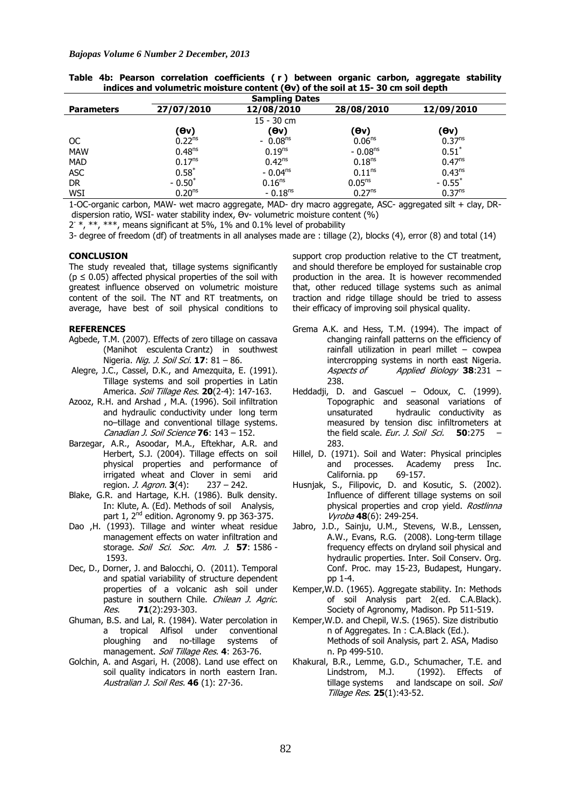|                   | <b>Sampling Dates</b> |                    |                    |                      |  |  |  |
|-------------------|-----------------------|--------------------|--------------------|----------------------|--|--|--|
| <b>Parameters</b> | 27/07/2010            | 12/08/2010         | 28/08/2010         | 12/09/2010           |  |  |  |
|                   |                       | $15 - 30$ cm       |                    |                      |  |  |  |
|                   | (Ov)                  | (Ov)               | (Ov)               | (Ov)                 |  |  |  |
| <sub>OC</sub>     | 0.22 <sup>ns</sup>    | $-0.08ns$          | 0.06 <sup>ns</sup> | 0.37 <sup>ns</sup>   |  |  |  |
| <b>MAW</b>        | 0.48 <sup>ns</sup>    | 0.19 <sup>ns</sup> | $-0.08ns$          | $0.51*$              |  |  |  |
| <b>MAD</b>        | 0.17 <sup>ns</sup>    | $0.42^{ns}$        | 0.18 <sup>ns</sup> | $0.47^{ns}$          |  |  |  |
| <b>ASC</b>        | $0.58*$               | $-0.04ns$          | $0.11^{ns}$        | $0.43^{ns}$          |  |  |  |
| <b>DR</b>         | $-0.50$ <sup>*</sup>  | 0.16 <sup>ns</sup> | 0.05 <sup>ns</sup> | $-0.55$ <sup>*</sup> |  |  |  |
| WSI               | 0.20 <sup>ns</sup>    | $-0.18ns$          | 0.27 <sup>ns</sup> | 0.37 <sup>ns</sup>   |  |  |  |

|  | Table 4b: Pearson correlation coefficients (r) between organic carbon, aggregate stability |  |  |  |
|--|--------------------------------------------------------------------------------------------|--|--|--|
|  | indices and volumetric moisture content $(\Theta v)$ of the soil at 15-30 cm soil depth    |  |  |  |

1-OC-organic carbon, MAW- wet macro aggregate, MAD- dry macro aggregate, ASC- aggregated silt + clay, DR dispersion ratio, WSI- water stability index, Өv- volumetric moisture content (%)

 $2^{4}$ ,  $**$ ,  $**$ , means significant at 5%, 1% and 0.1% level of probability

3- degree of freedom (df) of treatments in all analyses made are : tillage (2), blocks (4), error (8) and total (14)

## **CONCLUSION**

The study revealed that, tillage systems significantly ( $p \leq 0.05$ ) affected physical properties of the soil with greatest influence observed on volumetric moisture content of the soil. The NT and RT treatments, on average, have best of soil physical conditions to

#### **REFERENCES**

- Agbede, T.M. (2007). Effects of zero tillage on cassava (Manihot esculenta Crantz) in southwest Nigeria. Nig. J. Soil Sci. **17**: 81 – 86.
- Alegre, J.C., Cassel, D.K., and Amezquita, E. (1991). Tillage systems and soil properties in Latin America. Soil Tillage Res. **20**(2-4): 147-163.
- Azooz, R.H. and Arshad , M.A. (1996). Soil infiltration and hydraulic conductivity under long term no–tillage and conventional tillage systems. Canadian J. Soil Science **76**: 143 – 152.
- Barzegar, A.R., Asoodar, M.A., Eftekhar, A.R. and Herbert, S.J. (2004). Tillage effects on soil physical properties and performance of irrigated wheat and Clover in semi arid region. J. Agron. **3**(4): 237 – 242.
- Blake, G.R. and Hartage, K.H. (1986). Bulk density. In: Klute, A. (Ed). Methods of soil Analysis, part 1, 2<sup>nd</sup> edition. Agronomy 9. pp 363-375.
- Dao ,H. (1993). Tillage and winter wheat residue management effects on water infiltration and storage. Soil Sci. Soc. Am. J. **57**: 1586 - 1593.
- Dec, D., Dorner, J. and Balocchi, O. (2011). Temporal and spatial variability of structure dependent properties of a volcanic ash soil under pasture in southern Chile. Chilean J. Agric. Res. **71**(2):293-303.
- Ghuman, B.S. and Lal, R. (1984). Water percolation in a tropical Alfisol under conventional ploughing and no-tillage systems of management. Soil Tillage Res. **4**: 263-76.
- Golchin, A. and Asgari, H. (2008). Land use effect on soil quality indicators in north eastern Iran. Australian J. Soil Res. **46** (1): 27-36.

support crop production relative to the CT treatment. and should therefore be employed for sustainable crop production in the area. It is however recommended that, other reduced tillage systems such as animal traction and ridge tillage should be tried to assess their efficacy of improving soil physical quality.

- Grema A.K. and Hess, T.M. (1994). The impact of changing rainfall patterns on the efficiency of rainfall utilization in pearl millet – cowpea intercropping systems in north east Nigeria. Aspects of Applied Biology **38**:231 – 238.
- Heddadji, D. and Gascuel Odoux, C. (1999). Topographic and seasonal variations of unsaturated hydraulic conductivity as measured by tension disc infiltrometers at the field scale. Eur. J. Soil Sci. **50**:275 – 283.
- Hillel, D. (1971). Soil and Water: Physical principles and processes. Academy press Inc. California. pp 69-157.
- Husnjak, S., Filipovic, D. and Kosutic, S. (2002). Influence of different tillage systems on soil physical properties and crop yield. Rostlinna Vyroba **48**(6): 249-254.
- Jabro, J.D., Sainju, U.M., Stevens, W.B., Lenssen, A.W., Evans, R.G. (2008). Long-term tillage frequency effects on dryland soil physical and hydraulic properties. Inter. Soil Conserv. Org. Conf. Proc. may 15-23, Budapest, Hungary. pp 1-4.
- Kemper,W.D. (1965). Aggregate stability. In: Methods of soil Analysis part 2(ed. C.A.Black). Society of Agronomy, Madison. Pp 511-519.
- Kemper,W.D. and Chepil, W.S. (1965). Size distributio n of Aggregates. In : C.A.Black (Ed.). Methods of soil Analysis, part 2. ASA, Madiso n. Pp 499-510.
- Khakural, B.R., Lemme, G.D., Schumacher, T.E. and Lindstrom, M.J. (1992). Effects of tillage systems and landscape on soil. Soil Tillage Res. **25**(1):43-52.